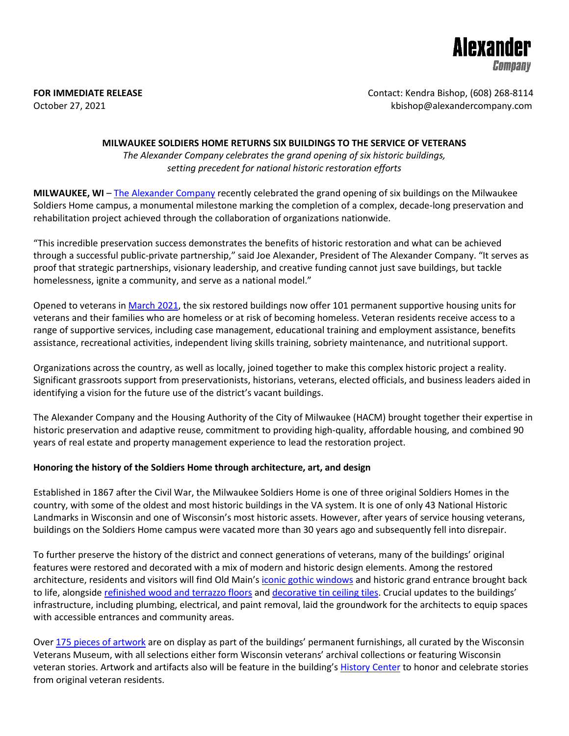

**FOR IMMEDIATE RELEASE CONTACT SEE ASSESSED ASSESSED AT A REPORT OF CONTACT: Kendra Bishop, (608) 268-8114** October 27, 2021 **bishop@alexandercompany.com** 

### **MILWAUKEE SOLDIERS HOME RETURNS SIX BUILDINGS TO THE SERVICE OF VETERANS**

*The Alexander Company celebrates the grand opening of six historic buildings, setting precedent for national historic restoration efforts*

**MILWAUKEE, WI** – [The Alexander Company](https://alexandercompany.com/) recently celebrated the grand opening of six buildings on the Milwaukee Soldiers Home campus, a monumental milestone marking the completion of a complex, decade-long preservation and rehabilitation project achieved through the collaboration of organizations nationwide.

"This incredible preservation success demonstrates the benefits of historic restoration and what can be achieved through a successful public-private partnership," said Joe Alexander, President of The Alexander Company. "It serves as proof that strategic partnerships, visionary leadership, and creative funding cannot just save buildings, but tackle homelessness, ignite a community, and serve as a national model."

Opened to veterans in [March 2021,](https://alexandercompany.com/wp-content/uploads/sites/101/2021/05/MILWAUKEE-SOLDIERS-HOME-CAMPUS-FIFTY-PERCENT-LEASED.pdf) the six restored buildings now offer 101 permanent supportive housing units for veterans and their families who are homeless or at risk of becoming homeless. Veteran residents receive access to a range of supportive services, including case management, educational training and employment assistance, benefits assistance, recreational activities, independent living skills training, sobriety maintenance, and nutritional support.

Organizations across the country, as well as locally, joined together to make this complex historic project a reality. Significant grassroots support from preservationists, historians, veterans, elected officials, and business leaders aided in identifying a vision for the future use of the district's vacant buildings.

The Alexander Company and the Housing Authority of the City of Milwaukee (HACM) brought together their expertise in historic preservation and adaptive reuse, commitment to providing high-quality, affordable housing, and combined 90 years of real estate and property management experience to lead the restoration project.

## **Honoring the history of the Soldiers Home through architecture, art, and design**

Established in 1867 after the Civil War, the Milwaukee Soldiers Home is one of three original Soldiers Homes in the country, with some of the oldest and most historic buildings in the VA system. It is one of only 43 National Historic Landmarks in Wisconsin and one of Wisconsin's most historic assets. However, after years of service housing veterans, buildings on the Soldiers Home campus were vacated more than 30 years ago and subsequently fell into disrepair.

To further preserve the history of the district and connect generations of veterans, many of the buildings' original features were restored and decorated with a mix of modern and historic design elements. Among the restored architecture, residents and visitors will find Old Main'[s iconic gothic windows](https://alexandercompany.com/wp-content/uploads/sites/101/2021/05/Milwaukee_VA_Alexander_Company_Mueller_Communications_Ryan_Hainey_Photography_028_web-1024x683.jpg) and historic grand entrance brought back to life, alongside [refinished wood and terrazzo floors](https://alexandercompany.com/wp-content/uploads/sites/101/2021/05/Milwaukee_VA_Alexander_Company_Mueller_Communications_Ryan_Hainey_Photography_038_web-1024x683.jpg) and [decorative tin ceiling tiles.](https://alexandercompany.com/wp-content/uploads/sites/101/2021/05/Milwaukee_VA_Alexander_Company_Mueller_Communications_Ryan_Hainey_Photography_043_web-1024x683.jpg) Crucial updates to the buildings' infrastructure, including plumbing, electrical, and paint removal, laid the groundwork for the architects to equip spaces with accessible entrances and community areas.

Over [175 pieces of artwork](https://alexandercompany.com/wp-content/uploads/sites/101/2021/05/Milwaukee_VA_Alexander_Company_Mueller_Communications_Ryan_Hainey_Photography_023_web-1024x683.jpg) are on display as part of the buildings' permanent furnishings, all curated by the Wisconsin Veterans Museum, with all selections either form Wisconsin veterans' archival collections or featuring Wisconsin veteran stories. Artwork and artifacts also will be feature in the building's [History Center](https://alexandercompany.com/wp-content/uploads/sites/101/2021/05/Milwaukee_VA_Alexander_Company_Mueller_Communications_Ryan_Hainey_Photography_033_web-1024x683.jpg) to honor and celebrate stories from original veteran residents.